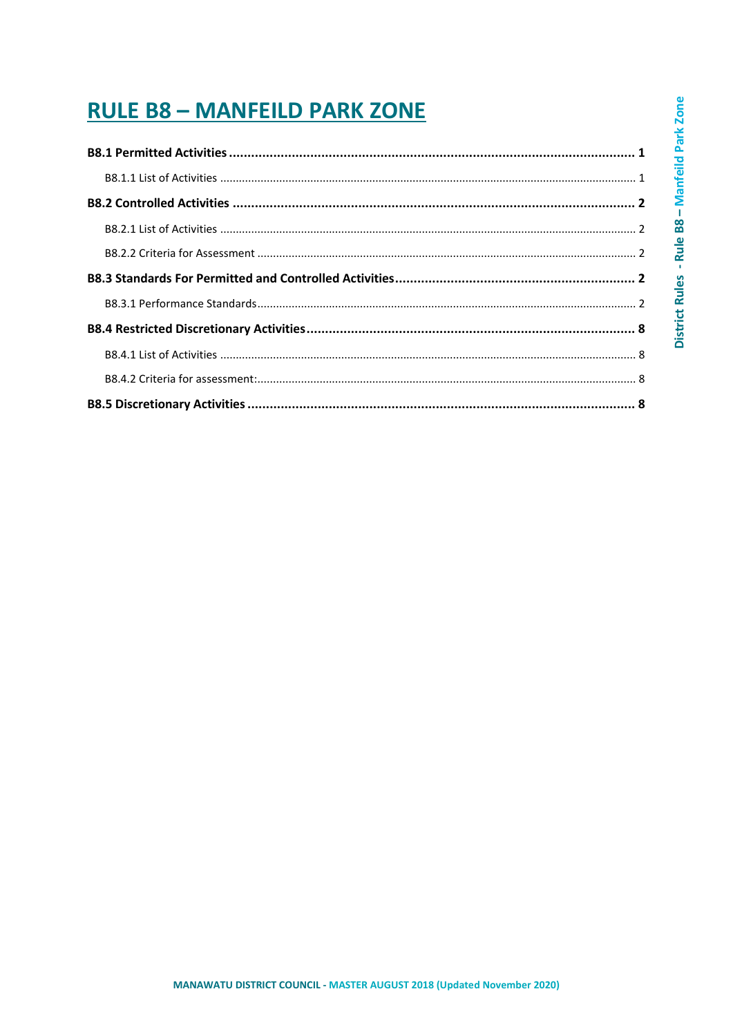# **RULE B8 - MANFEILD PARK ZONE**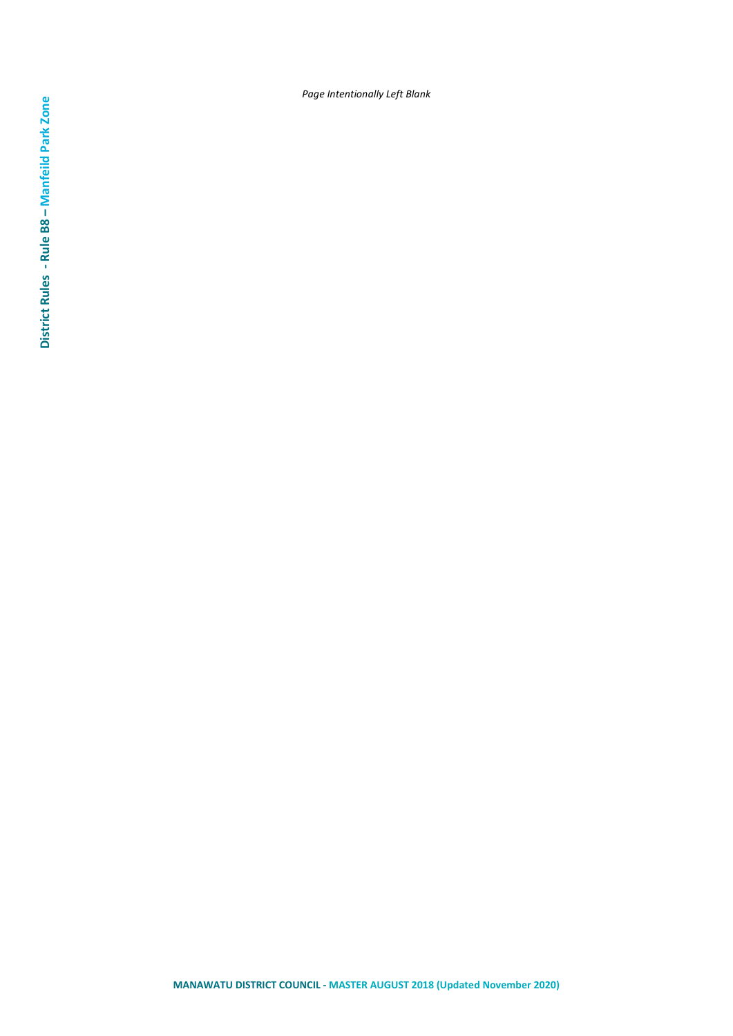*Page Intentionally Left Blank*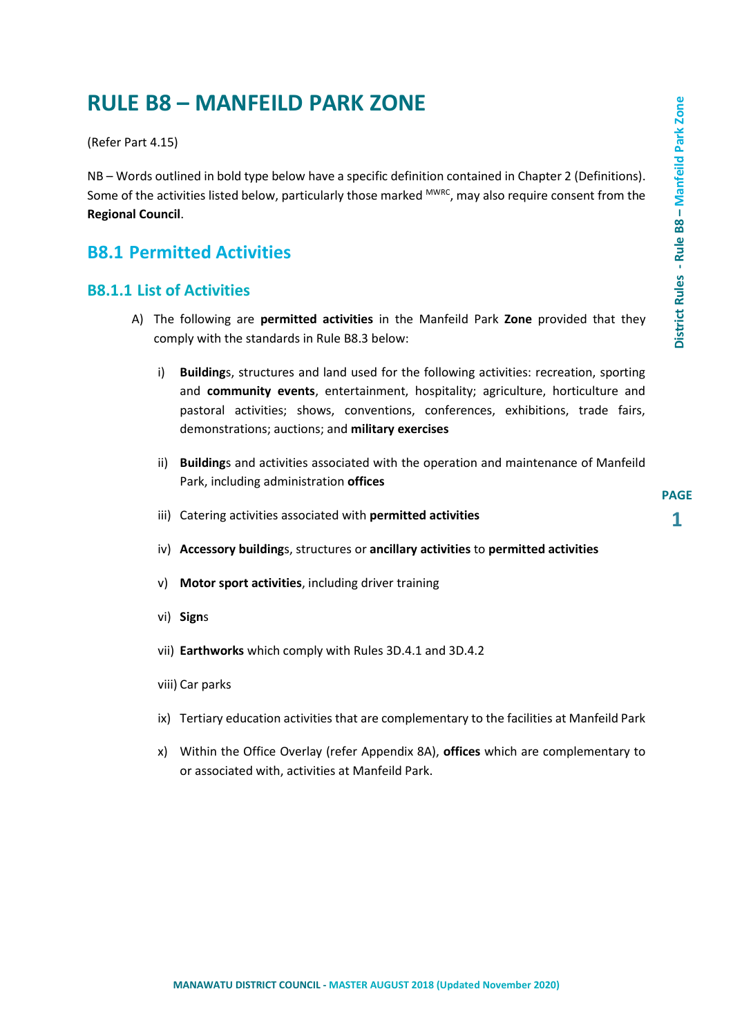# **RULE B8 – MANFEILD PARK ZONE**

(Refer Part 4.15)

NB – Words outlined in bold type below have a specific definition contained in Chapter 2 (Definitions). Some of the activities listed below, particularly those marked MWRC, may also require consent from the **Regional Council**.

## <span id="page-2-0"></span>**B8.1 Permitted Activities**

### <span id="page-2-1"></span>**B8.1.1 List of Activities**

- A) The following are **permitted activities** in the Manfeild Park **Zone** provided that they comply with the standards in Rule B8.3 below:
	- i) **Building**s, structures and land used for the following activities: recreation, sporting and **community events**, entertainment, hospitality; agriculture, horticulture and pastoral activities; shows, conventions, conferences, exhibitions, trade fairs, demonstrations; auctions; and **military exercises**
	- ii) **Building**s and activities associated with the operation and maintenance of Manfeild Park, including administration **offices**
	- iii) Catering activities associated with **permitted activities**
	- iv) **Accessory building**s, structures or **ancillary activities** to **permitted activities**
	- v) **Motor sport activities**, including driver training
	- vi) **Sign**s
	- vii) **Earthworks** which comply with Rules 3D.4.1 and 3D.4.2
	- viii) Car parks
	- ix) Tertiary education activities that are complementary to the facilities at Manfeild Park
	- x) Within the Office Overlay (refer Appendix 8A), **offices** which are complementary to or associated with, activities at Manfeild Park.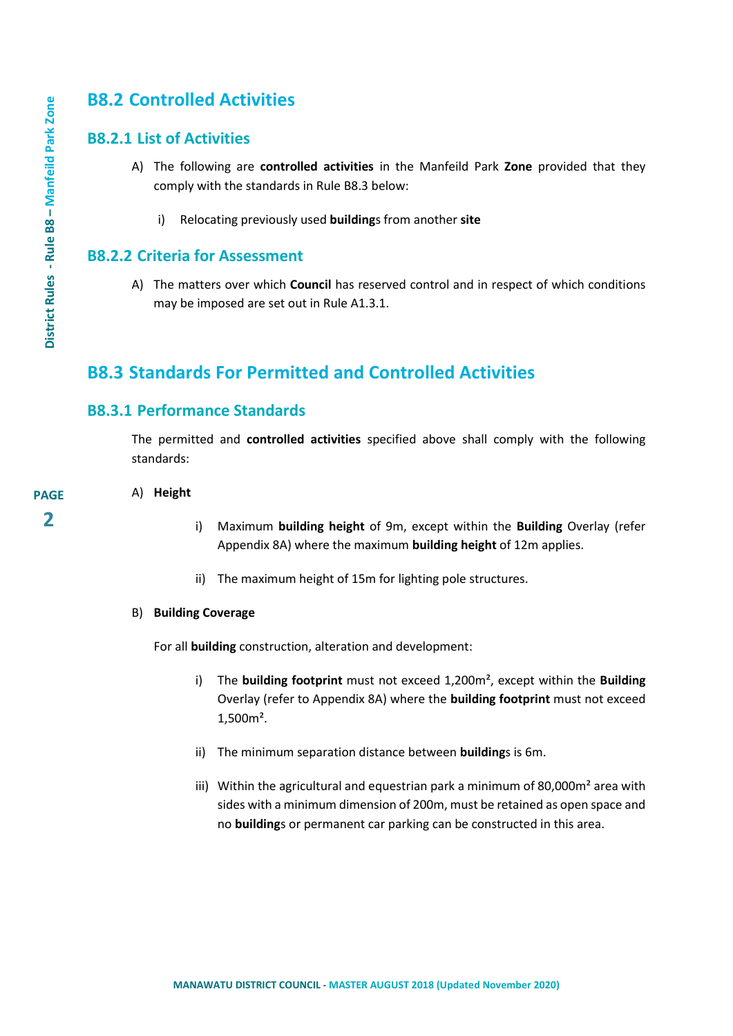## <span id="page-3-0"></span>**B8.2 Controlled Activities**

## <span id="page-3-1"></span>**B8.2.1 List of Activities**

- A) The following are **controlled activities** in the Manfeild Park **Zone** provided that they comply with the standards in Rule B8.3 below:
	- i) Relocating previously used **building**s from another **site**

### <span id="page-3-2"></span>**B8.2.2 Criteria for Assessment**

A) The matters over which **Council** has reserved control and in respect of which conditions may be imposed are set out in Rule A1.3.1.

## <span id="page-3-3"></span>**B8.3 Standards For Permitted and Controlled Activities**

### <span id="page-3-4"></span>**B8.3.1 Performance Standards**

The permitted and **controlled activities** specified above shall comply with the following standards:

#### A) **Height**

- i) Maximum **building height** of 9m, except within the **Building** Overlay (refer Appendix 8A) where the maximum **building height** of 12m applies.
- ii) The maximum height of 15m for lighting pole structures.

#### B) **Building Coverage**

For all **building** construction, alteration and development:

- i) The **building footprint** must not exceed 1,200m², except within the **Building** Overlay (refer to Appendix 8A) where the **building footprint** must not exceed 1,500m².
- ii) The minimum separation distance between **building**s is 6m.
- iii) Within the agricultural and equestrian park a minimum of 80,000m<sup>2</sup> area with sides with a minimum dimension of 200m, must be retained as open space and no **building**s or permanent car parking can be constructed in this area.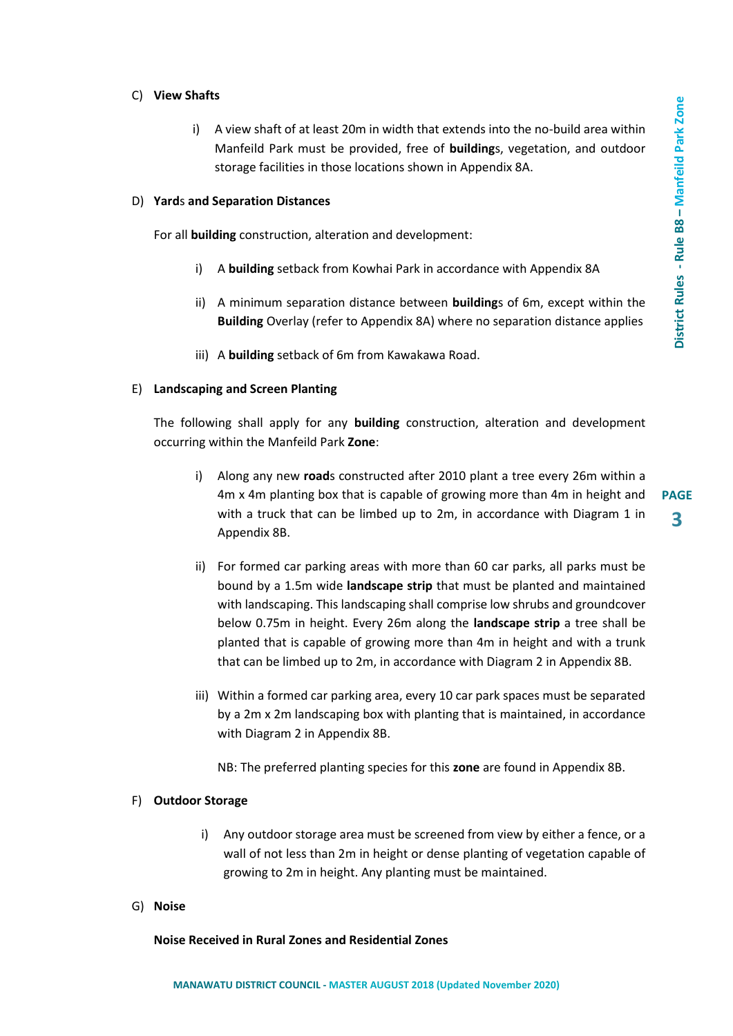#### C) **View Shafts**

i) A view shaft of at least 20m in width that extends into the no-build area within Manfeild Park must be provided, free of **building**s, vegetation, and outdoor storage facilities in those locations shown in Appendix 8A.

#### D) **Yard**s **and Separation Distances**

For all **building** construction, alteration and development:

- i) A **building** setback from Kowhai Park in accordance with Appendix 8A
- ii) A minimum separation distance between **building**s of 6m, except within the **Building** Overlay (refer to Appendix 8A) where no separation distance applies
- iii) A **building** setback of 6m from Kawakawa Road.

#### E) **Landscaping and Screen Planting**

The following shall apply for any **building** construction, alteration and development occurring within the Manfeild Park **Zone**:

- i) Along any new **road**s constructed after 2010 plant a tree every 26m within a 4m x 4m planting box that is capable of growing more than 4m in height and with a truck that can be limbed up to 2m, in accordance with Diagram 1 in Appendix 8B.
- ii) For formed car parking areas with more than 60 car parks, all parks must be bound by a 1.5m wide **landscape strip** that must be planted and maintained with landscaping. This landscaping shall comprise low shrubs and groundcover below 0.75m in height. Every 26m along the **landscape strip** a tree shall be planted that is capable of growing more than 4m in height and with a trunk that can be limbed up to 2m, in accordance with Diagram 2 in Appendix 8B.
- iii) Within a formed car parking area, every 10 car park spaces must be separated by a 2m x 2m landscaping box with planting that is maintained, in accordance with Diagram 2 in Appendix 8B.

NB: The preferred planting species for this **zone** are found in Appendix 8B.

#### F) **Outdoor Storage**

- i) Any outdoor storage area must be screened from view by either a fence, or a wall of not less than 2m in height or dense planting of vegetation capable of growing to 2m in height. Any planting must be maintained.
- G) **Noise**

**Noise Received in Rural Zones and Residential Zones**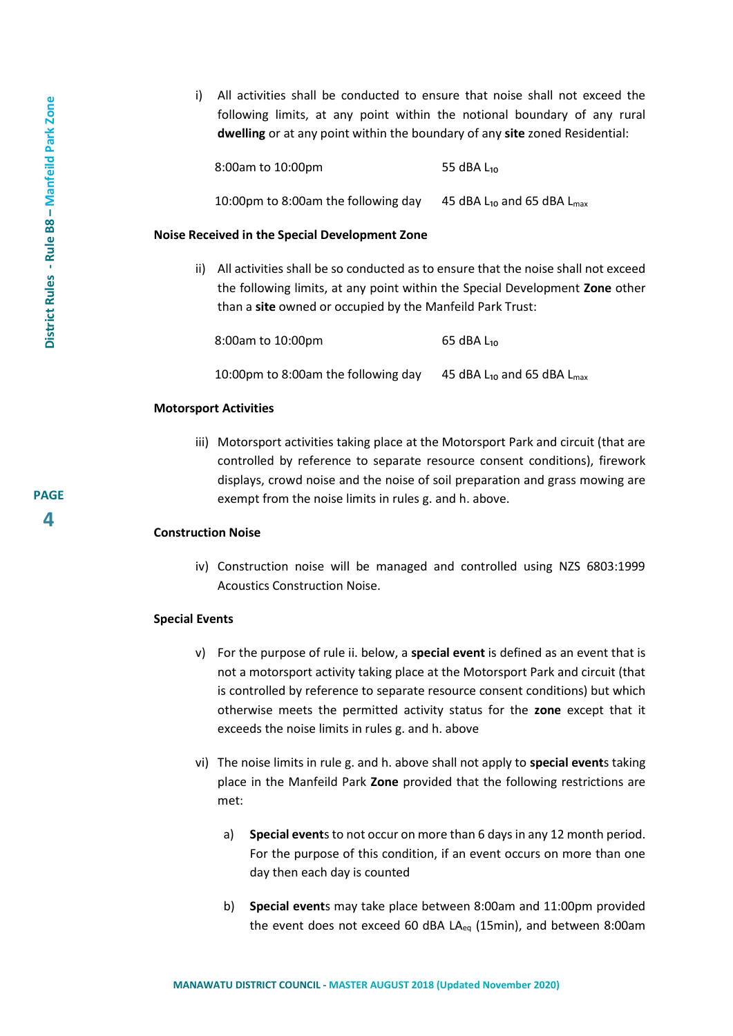i) All activities shall be conducted to ensure that noise shall not exceed the following limits, at any point within the notional boundary of any rural **dwelling** or at any point within the boundary of any **site** zoned Residential:

| 8:00am to 10:00pm                   | 55 dBA $L_{10}$                      |
|-------------------------------------|--------------------------------------|
| 10:00pm to 8:00am the following day | 45 dBA $L_{10}$ and 65 dBA $L_{max}$ |

#### **Noise Received in the Special Development Zone**

ii) All activities shall be so conducted as to ensure that the noise shall not exceed the following limits, at any point within the Special Development **Zone** other than a **site** owned or occupied by the Manfeild Park Trust:

| 8:00am to 10:00pm                   | $65$ dBA $L_{10}$                    |
|-------------------------------------|--------------------------------------|
| 10:00pm to 8:00am the following day | 45 dBA $L_{10}$ and 65 dBA $L_{max}$ |

#### **Motorsport Activities**

iii) Motorsport activities taking place at the Motorsport Park and circuit (that are controlled by reference to separate resource consent conditions), firework displays, crowd noise and the noise of soil preparation and grass mowing are exempt from the noise limits in rules g. and h. above.

#### **Construction Noise**

iv) Construction noise will be managed and controlled using NZS 6803:1999 Acoustics Construction Noise.

#### **Special Events**

- v) For the purpose of rule ii. below, a **special event** is defined as an event that is not a motorsport activity taking place at the Motorsport Park and circuit (that is controlled by reference to separate resource consent conditions) but which otherwise meets the permitted activity status for the **zone** except that it exceeds the noise limits in rules g. and h. above
- vi) The noise limits in rule g. and h. above shall not apply to **special event**s taking place in the Manfeild Park **Zone** provided that the following restrictions are met:
	- a) **Special event**s to not occur on more than 6 days in any 12 month period. For the purpose of this condition, if an event occurs on more than one day then each day is counted
	- b) **Special event**s may take place between 8:00am and 11:00pm provided the event does not exceed 60 dBA LAeq (15min), and between 8:00am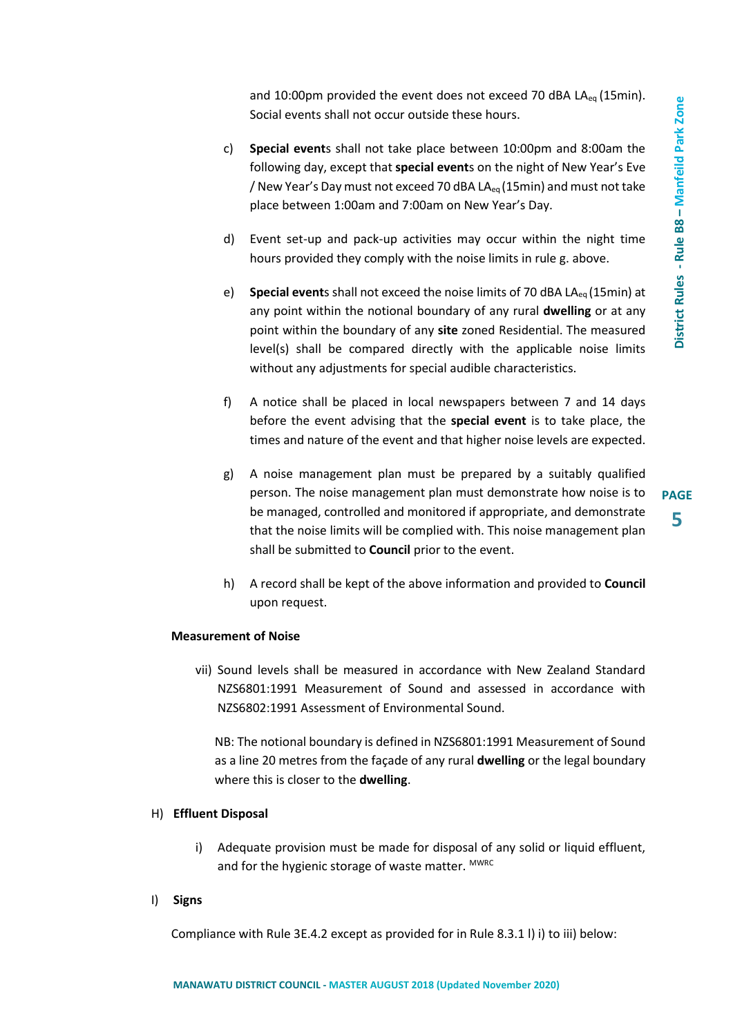and 10:00pm provided the event does not exceed 70 dBA  $LA_{eq}$  (15min). Social events shall not occur outside these hours.

- c) **Special event**s shall not take place between 10:00pm and 8:00am the following day, except that **special event**s on the night of New Year's Eve / New Year's Day must not exceed 70 dBA LAeq (15min) and must not take place between 1:00am and 7:00am on New Year's Day.
- d) Event set-up and pack-up activities may occur within the night time hours provided they comply with the noise limits in rule g. above.
- e) **Special event**s shall not exceed the noise limits of 70 dBA LAeq (15min) at any point within the notional boundary of any rural **dwelling** or at any point within the boundary of any **site** zoned Residential. The measured level(s) shall be compared directly with the applicable noise limits without any adjustments for special audible characteristics.
- f) A notice shall be placed in local newspapers between 7 and 14 days before the event advising that the **special event** is to take place, the times and nature of the event and that higher noise levels are expected.
- g) A noise management plan must be prepared by a suitably qualified person. The noise management plan must demonstrate how noise is to be managed, controlled and monitored if appropriate, and demonstrate that the noise limits will be complied with. This noise management plan shall be submitted to **Council** prior to the event.
- h) A record shall be kept of the above information and provided to **Council** upon request.

#### **Measurement of Noise**

vii) Sound levels shall be measured in accordance with New Zealand Standard NZS6801:1991 Measurement of Sound and assessed in accordance with NZS6802:1991 Assessment of Environmental Sound.

NB: The notional boundary is defined in NZS6801:1991 Measurement of Sound as a line 20 metres from the façade of any rural **dwelling** or the legal boundary where this is closer to the **dwelling**.

#### H) **Effluent Disposal**

i) Adequate provision must be made for disposal of any solid or liquid effluent, and for the hygienic storage of waste matter. MWRC

#### I) **Signs**

Compliance with Rule 3E.4.2 except as provided for in Rule 8.3.1 l) i) to iii) below:

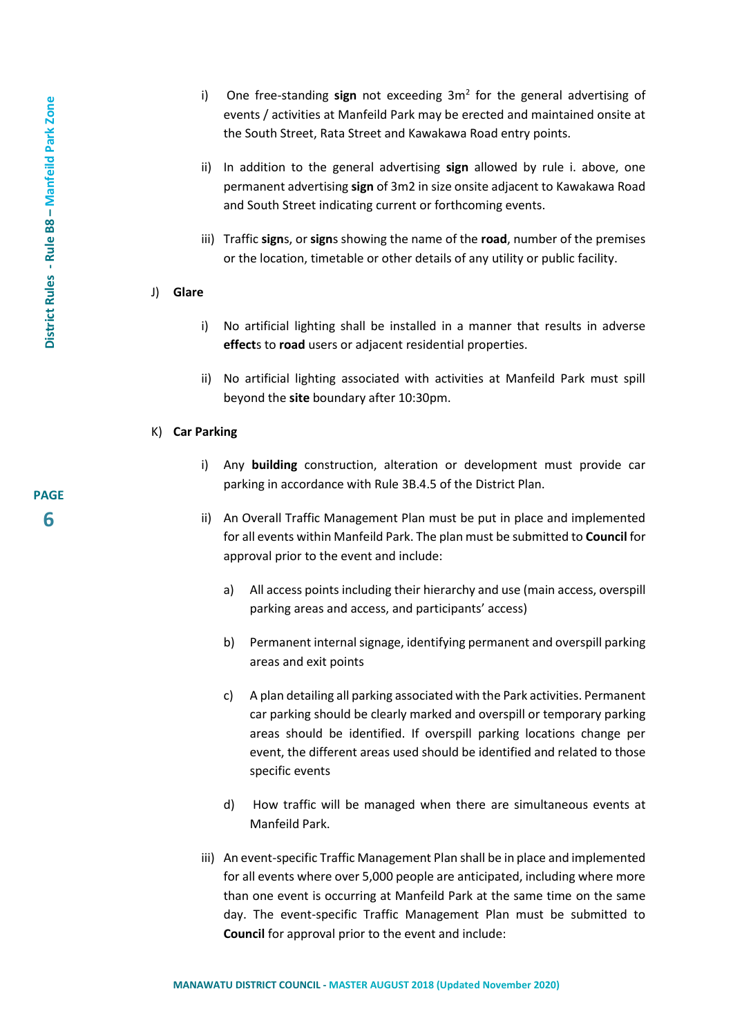- i) One free-standing sign not exceeding 3m<sup>2</sup> for the general advertising of events / activities at Manfeild Park may be erected and maintained onsite at the South Street, Rata Street and Kawakawa Road entry points.
- ii) In addition to the general advertising **sign** allowed by rule i. above, one permanent advertising **sign** of 3m2 in size onsite adjacent to Kawakawa Road and South Street indicating current or forthcoming events.
- iii) Traffic **sign**s, or **sign**s showing the name of the **road**, number of the premises or the location, timetable or other details of any utility or public facility.

#### J) **Glare**

- i) No artificial lighting shall be installed in a manner that results in adverse **effect**s to **road** users or adjacent residential properties.
- ii) No artificial lighting associated with activities at Manfeild Park must spill beyond the **site** boundary after 10:30pm.

#### K) **Car Parking**

- i) Any **building** construction, alteration or development must provide car parking in accordance with Rule 3B.4.5 of the District Plan.
- ii) An Overall Traffic Management Plan must be put in place and implemented for all events within Manfeild Park. The plan must be submitted to **Council** for approval prior to the event and include:
	- a) All access points including their hierarchy and use (main access, overspill parking areas and access, and participants' access)
	- b) Permanent internal signage, identifying permanent and overspill parking areas and exit points
	- c) A plan detailing all parking associated with the Park activities. Permanent car parking should be clearly marked and overspill or temporary parking areas should be identified. If overspill parking locations change per event, the different areas used should be identified and related to those specific events
	- d) How traffic will be managed when there are simultaneous events at Manfeild Park.
- iii) An event-specific Traffic Management Plan shall be in place and implemented for all events where over 5,000 people are anticipated, including where more than one event is occurring at Manfeild Park at the same time on the same day. The event-specific Traffic Management Plan must be submitted to **Council** for approval prior to the event and include: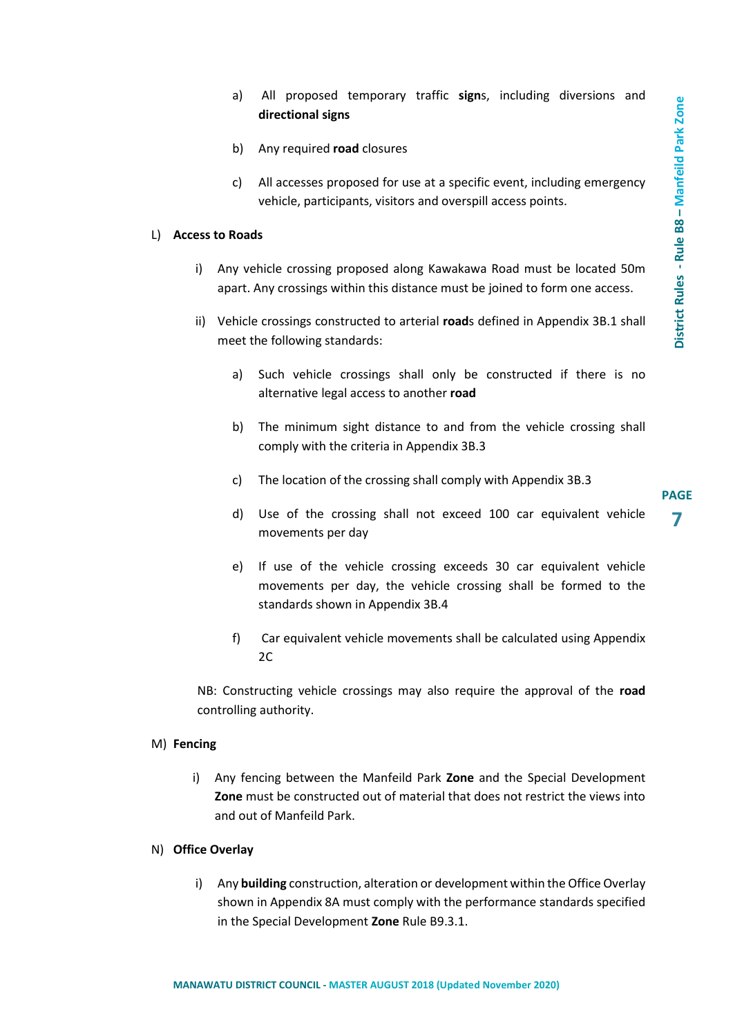- a) All proposed temporary traffic **sign**s, including diversions and **directional signs**
- b) Any required **road** closures
- c) All accesses proposed for use at a specific event, including emergency vehicle, participants, visitors and overspill access points.

#### L) **Access to Roads**

- i) Any vehicle crossing proposed along Kawakawa Road must be located 50m apart. Any crossings within this distance must be joined to form one access.
- ii) Vehicle crossings constructed to arterial **road**s defined in Appendix 3B.1 shall meet the following standards:
	- a) Such vehicle crossings shall only be constructed if there is no alternative legal access to another **road**
	- b) The minimum sight distance to and from the vehicle crossing shall comply with the criteria in Appendix 3B.3
	- c) The location of the crossing shall comply with Appendix 3B.3

- d) Use of the crossing shall not exceed 100 car equivalent vehicle movements per day
- e) If use of the vehicle crossing exceeds 30 car equivalent vehicle movements per day, the vehicle crossing shall be formed to the standards shown in Appendix 3B.4
- f) Car equivalent vehicle movements shall be calculated using Appendix  $2C$

NB: Constructing vehicle crossings may also require the approval of the **road** controlling authority.

#### M) **Fencing**

i) Any fencing between the Manfeild Park **Zone** and the Special Development **Zone** must be constructed out of material that does not restrict the views into and out of Manfeild Park.

#### N) **Office Overlay**

i) Any **building** construction, alteration or development within the Office Overlay shown in Appendix 8A must comply with the performance standards specified in the Special Development **Zone** Rule B9.3.1.